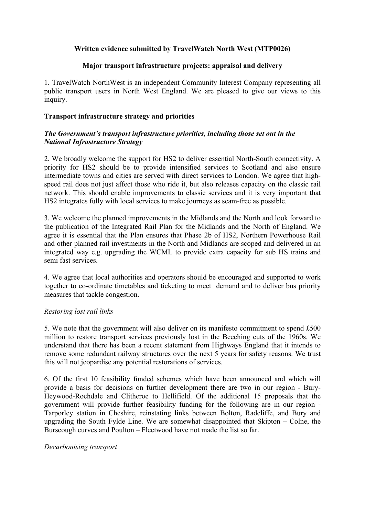# **Written evidence submitted by TravelWatch North West (MTP0026)**

### **Major transport infrastructure projects: appraisal and delivery**

1. TravelWatch NorthWest is an independent Community Interest Company representing all public transport users in North West England. We are pleased to give our views to this inquiry.

### **Transport infrastructure strategy and priorities**

## *The Government's transport infrastructure priorities, including those set out in the National Infrastructure Strategy*

2. We broadly welcome the support for HS2 to deliver essential North-South connectivity. A priority for HS2 should be to provide intensified services to Scotland and also ensure intermediate towns and cities are served with direct services to London. We agree that highspeed rail does not just affect those who ride it, but also releases capacity on the classic rail network. This should enable improvements to classic services and it is very important that HS2 integrates fully with local services to make journeys as seam-free as possible.

3. We welcome the planned improvements in the Midlands and the North and look forward to the publication of the Integrated Rail Plan for the Midlands and the North of England. We agree it is essential that the Plan ensures that Phase 2b of HS2, Northern Powerhouse Rail and other planned rail investments in the North and Midlands are scoped and delivered in an integrated way e.g. upgrading the WCML to provide extra capacity for sub HS trains and semi fast services.

4. We agree that local authorities and operators should be encouraged and supported to work together to co-ordinate timetables and ticketing to meet demand and to deliver bus priority measures that tackle congestion.

## *Restoring lost rail links*

5. We note that the government will also deliver on its manifesto commitment to spend £500 million to restore transport services previously lost in the Beeching cuts of the 1960s. We understand that there has been a recent statement from Highways England that it intends to remove some redundant railway structures over the next 5 years for safety reasons. We trust this will not jeopardise any potential restorations of services.

6. Of the first 10 feasibility funded schemes which have been announced and which will provide a basis for decisions on further development there are two in our region - Bury-Heywood-Rochdale and Clitheroe to Hellifield. Of the additional 15 proposals that the government will provide further feasibility funding for the following are in our region - Tarporley station in Cheshire, reinstating links between Bolton, Radcliffe, and Bury and upgrading the South Fylde Line. We are somewhat disappointed that Skipton – Colne, the Burscough curves and Poulton – Fleetwood have not made the list so far.

### *Decarbonising transport*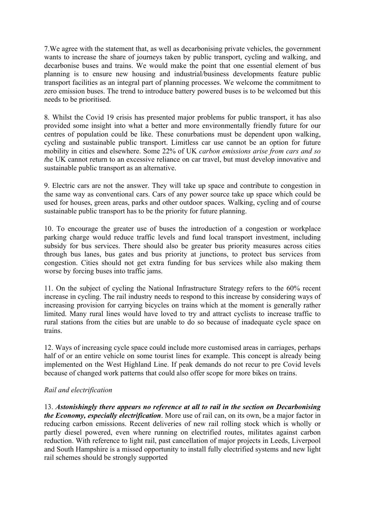7.We agree with the statement that, as well as decarbonising private vehicles, the government wants to increase the share of journeys taken by public transport, cycling and walking, and decarbonise buses and trains. We would make the point that one essential element of bus planning is to ensure new housing and industrial/business developments feature public transport facilities as an integral part of planning processes. We welcome the commitment to zero emission buses. The trend to introduce battery powered buses is to be welcomed but this needs to be prioritised.

8. Whilst the Covid 19 crisis has presented major problems for public transport, it has also provided some insight into what a better and more environmentally friendly future for our centres of population could be like. These conurbations must be dependent upon walking, cycling and sustainable public transport. Limitless car use cannot be an option for future mobility in cities and elsewhere. Some 22% of UK *carbon emissions arise from cars and so t*he UK cannot return to an excessive reliance on car travel, but must develop innovative and sustainable public transport as an alternative.

9. Electric cars are not the answer. They will take up space and contribute to congestion in the same way as conventional cars. Cars of any power source take up space which could be used for houses, green areas, parks and other outdoor spaces. Walking, cycling and of course sustainable public transport has to be the priority for future planning.

10. To encourage the greater use of buses the introduction of a congestion or workplace parking charge would reduce traffic levels and fund local transport investment, including subsidy for bus services. There should also be greater bus priority measures across cities through bus lanes, bus gates and bus priority at junctions, to protect bus services from congestion. Cities should not get extra funding for bus services while also making them worse by forcing buses into traffic jams.

11. On the subject of cycling the National Infrastructure Strategy refers to the 60% recent increase in cycling. The rail industry needs to respond to this increase by considering ways of increasing provision for carrying bicycles on trains which at the moment is generally rather limited. Many rural lines would have loved to try and attract cyclists to increase traffic to rural stations from the cities but are unable to do so because of inadequate cycle space on trains.

12. Ways of increasing cycle space could include more customised areas in carriages, perhaps half of or an entire vehicle on some tourist lines for example. This concept is already being implemented on the West Highland Line. If peak demands do not recur to pre Covid levels because of changed work patterns that could also offer scope for more bikes on trains.

## *Rail and electrification*

13. *Astonishingly there appears no reference at all to rail in the section on Decarbonising the Economy, especially electrification*. More use of rail can, on its own, be a major factor in reducing carbon emissions. Recent deliveries of new rail rolling stock which is wholly or partly diesel powered, even where running on electrified routes, militates against carbon reduction. With reference to light rail, past cancellation of major projects in Leeds, Liverpool and South Hampshire is a missed opportunity to install fully electrified systems and new light rail schemes should be strongly supported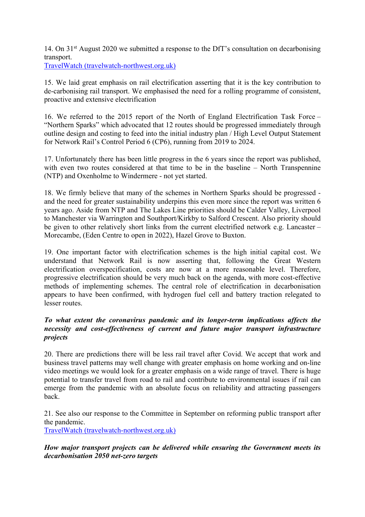14. On 31st August 2020 we submitted a response to the DfT's consultation on decarbonising transport.

[TravelWatch](http://www.travelwatch-northwest.org.uk/Decarbonisingtransport_0820.pdf) [\(travelwatch-northwest.org.uk\)](http://www.travelwatch-northwest.org.uk/Decarbonisingtransport_0820.pdf)

15. We laid great emphasis on rail electrification asserting that it is the key contribution to de-carbonising rail transport. We emphasised the need for a rolling programme of consistent, proactive and extensive electrification

16. We referred to the 2015 report of the North of England Electrification Task Force – "Northern Sparks" which advocated that 12 routes should be progressed immediately through outline design and costing to feed into the initial industry plan / High Level Output Statement for Network Rail's Control Period 6 (CP6), running from 2019 to 2024.

17. Unfortunately there has been little progress in the 6 years since the report was published, with even two routes considered at that time to be in the baseline – North Transpennine (NTP) and Oxenholme to Windermere - not yet started.

18. We firmly believe that many of the schemes in Northern Sparks should be progressed and the need for greater sustainability underpins this even more since the report was written 6 years ago. Aside from NTP and The Lakes Line priorities should be Calder Valley, Liverpool to Manchester via Warrington and Southport/Kirkby to Salford Crescent. Also priority should be given to other relatively short links from the current electrified network e.g. Lancaster – Morecambe, (Eden Centre to open in 2022), Hazel Grove to Buxton.

19. One important factor with electrification schemes is the high initial capital cost. We understand that Network Rail is now asserting that, following the Great Western electrification overspecification, costs are now at a more reasonable level. Therefore, progressive electrification should be very much back on the agenda, with more cost-effective methods of implementing schemes. The central role of electrification in decarbonisation appears to have been confirmed, with hydrogen fuel cell and battery traction relegated to lesser routes.

# *To what extent the coronavirus pandemic and its longer-term implications affects the necessity and cost-effectiveness of current and future major transport infrastructure projects*

20. There are predictions there will be less rail travel after Covid. We accept that work and business travel patterns may well change with greater emphasis on home working and on-line video meetings we would look for a greater emphasis on a wide range of travel. There is huge potential to transfer travel from road to rail and contribute to environmental issues if rail can emerge from the pandemic with an absolute focus on reliability and attracting passengers back.

21. See also our response to the Committee in September on reforming public transport after the pandemic.

[TravelWatch](http://www.travelwatch-northwest.org.uk/Reformingpublictransportafterpandemic_0920.pdf) [\(travelwatch-northwest.org.uk\)](http://www.travelwatch-northwest.org.uk/Reformingpublictransportafterpandemic_0920.pdf)

*How major transport projects can be delivered while ensuring the Government meets its decarbonisation 2050 net-zero targets*